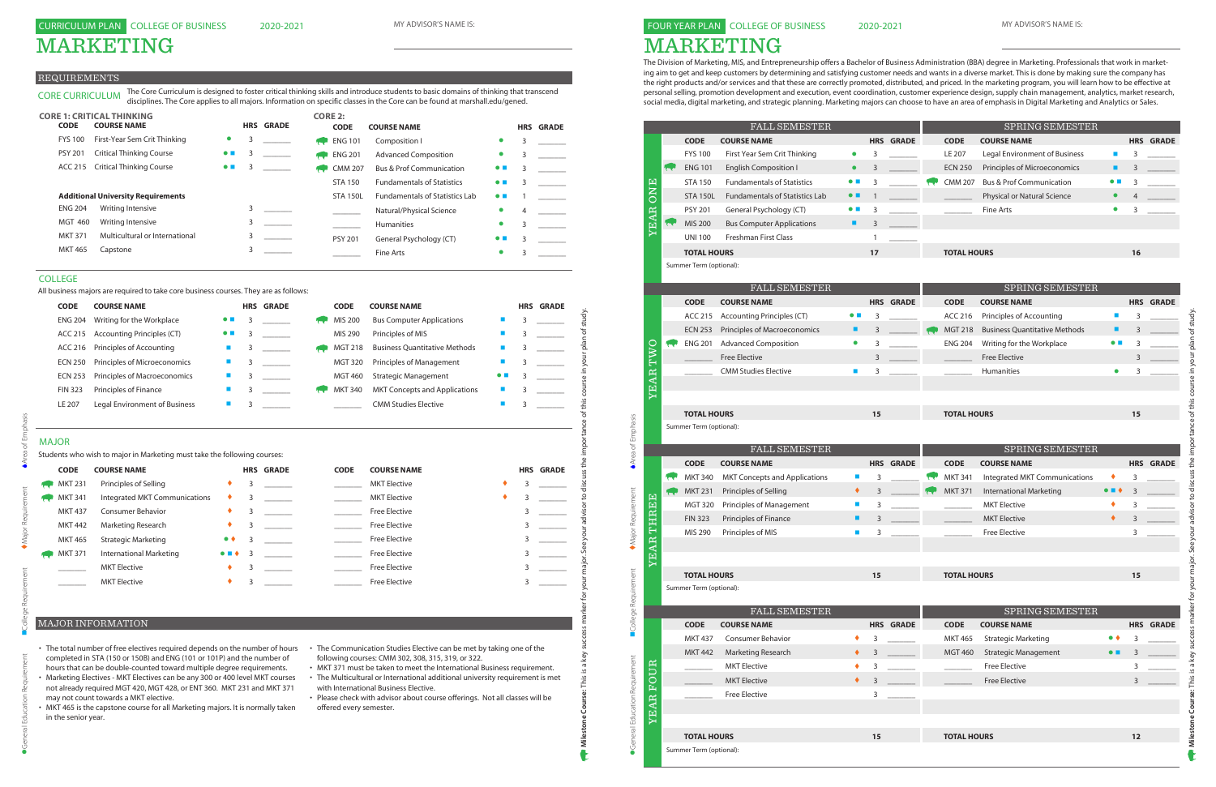# MARKETING

### FOUR YEAR PLAN COLLEGE OF BUSINESS

The Division of Marketing, MIS, and Entrepreneurship offers a Bachelor of Business Administration (BBA) degree in Marketing. Professionals that work in marketing aim to get and keep customers by determining and satisfying customer needs and wants in a diverse market. This is done by making sure the company has the right products and/or services and that these are correctly promoted, distributed, and priced. In the marketing program, you will learn how to be effective at personal selling, promotion development and execution, event coordination, customer experience design, supply chain management, analytics, market research, social media, digital marketing, and strategic planning. Marketing majors can choose to have an area of emphasis in Digital Marketing and Analytics or Sales.

|                               |                         | <b>FALL SEMESTER</b>                  |                          |              |                  |                    | SPRING SEMESTER                       |                          |    |                  |
|-------------------------------|-------------------------|---------------------------------------|--------------------------|--------------|------------------|--------------------|---------------------------------------|--------------------------|----|------------------|
|                               | <b>CODE</b>             | <b>COURSE NAME</b>                    |                          |              | <b>HRS GRADE</b> | <b>CODE</b>        | <b>COURSE NAME</b>                    |                          |    | <b>HRS GRADE</b> |
|                               | <b>FYS 100</b>          | First Year Sem Crit Thinking          | $\bullet$                | 3            |                  | LE 207             | Legal Environment of Business         | <b>I</b>                 | 3  |                  |
|                               | <b>ENG 101</b>          | <b>English Composition I</b>          | $\bullet$                | 3            |                  | <b>ECN 250</b>     | Principles of Microeconomics          | п                        | 3  |                  |
|                               | <b>STA 150</b>          | <b>Fundamentals of Statistics</b>     | $\bullet\ \blacksquare$  | 3            |                  | <b>CMM 207</b>     | <b>Bus &amp; Prof Communication</b>   | $\bullet$ $\blacksquare$ | 3  |                  |
| <b>ONE</b>                    | <b>STA 150L</b>         | <b>Fundamentals of Statistics Lab</b> | $\bullet$ $\blacksquare$ | $\mathbf{1}$ |                  |                    | Physical or Natural Science           | $\bullet$                |    |                  |
|                               | <b>PSY 201</b>          | General Psychology (CT)               | $\bullet$ $\blacksquare$ | 3            |                  |                    | <b>Fine Arts</b>                      | $\bullet$                | 3  |                  |
| <b>YEAR</b>                   | <b>MIS 200</b>          | <b>Bus Computer Applications</b>      | ٠                        | 3            |                  |                    |                                       |                          |    |                  |
|                               | <b>UNI 100</b>          | Freshman First Class                  |                          | 1            |                  |                    |                                       |                          |    |                  |
|                               | <b>TOTAL HOURS</b>      |                                       |                          | 17           |                  | <b>TOTAL HOURS</b> |                                       |                          | 16 |                  |
|                               | Summer Term (optional): |                                       |                          |              |                  |                    |                                       |                          |    |                  |
|                               |                         |                                       |                          |              |                  |                    |                                       |                          |    |                  |
|                               | <b>CODE</b>             | FALL SEMESTER<br><b>COURSE NAME</b>   |                          |              | <b>HRS GRADE</b> | <b>CODE</b>        | SPRING SEMESTER<br><b>COURSE NAME</b> |                          |    | <b>HRS GRADE</b> |
|                               | <b>ACC 215</b>          | <b>Accounting Principles (CT)</b>     | $\bullet$ $\blacksquare$ | 3            |                  | ACC 216            | Principles of Accounting              | ш                        | 3  |                  |
|                               | <b>ECN 253</b>          | Principles of Macroeconomics          | ш                        | 3            |                  | <b>MGT 218</b>     | <b>Business Quantitative Methods</b>  | ■                        | 3  |                  |
|                               | <b>ENG 201</b>          | <b>Advanced Composition</b>           | $\bullet$                | 3            |                  | <b>ENG 204</b>     | Writing for the Workplace             | $\bullet$ $\blacksquare$ | 3  |                  |
| DMJ                           |                         | Free Elective                         |                          | 3            |                  |                    | <b>Free Elective</b>                  |                          | 3  |                  |
|                               |                         | <b>CMM Studies Elective</b>           | m.                       | 3            |                  |                    | Humanities                            | $\bullet$                | 3  |                  |
| YEAR                          |                         |                                       |                          |              |                  |                    |                                       |                          |    |                  |
|                               |                         |                                       |                          |              |                  |                    |                                       |                          |    |                  |
|                               | <b>TOTAL HOURS</b>      |                                       |                          | 15           |                  | <b>TOTAL HOURS</b> |                                       |                          | 15 |                  |
|                               | Summer Term (optional): |                                       |                          |              |                  |                    |                                       |                          |    |                  |
| Area of Emphasis              |                         |                                       |                          |              |                  |                    |                                       |                          |    |                  |
|                               |                         | <b>FALL SEMESTER</b>                  |                          |              |                  |                    | SPRING SEMESTER                       |                          |    |                  |
|                               | <b>CODE</b>             | <b>COURSE NAME</b>                    |                          |              | <b>HRS GRADE</b> | <b>CODE</b>        | <b>COURSE NAME</b>                    |                          |    | <b>HRS GRADE</b> |
|                               | <b>MKT 340</b>          | <b>MKT Concepts and Applications</b>  | ш                        | 3            |                  | <b>MKT 341</b>     | Integrated MKT Communications         |                          | 3  |                  |
|                               | <b>MKT 231</b>          | Principles of Selling                 | ٠                        | 3            |                  | <b>MKT 371</b>     | <b>International Marketing</b>        |                          | 3  |                  |
|                               | MGT 320                 | Principles of Management              | ш                        | 3            |                  |                    | <b>MKT Elective</b>                   | ٠                        | 3  |                  |
| THREE                         | <b>FIN 323</b>          | Principles of Finance                 | п                        | 3            |                  |                    | <b>MKT Elective</b>                   | ٠                        | 3  |                  |
| Major Requirement             | MIS 290                 | Principles of MIS                     | ш                        | 3            |                  |                    | <b>Free Elective</b>                  |                          | 3  |                  |
| <b>TEAR</b>                   |                         |                                       |                          |              |                  |                    |                                       |                          |    |                  |
|                               | <b>TOTAL HOURS</b>      |                                       |                          |              |                  | <b>TOTAL HOURS</b> |                                       |                          |    |                  |
|                               | Summer Term (optional): |                                       |                          | 15           |                  |                    |                                       |                          | 15 |                  |
|                               |                         |                                       |                          |              |                  |                    |                                       |                          |    |                  |
| College Requirement           |                         | <b>FALL SEMESTER</b>                  |                          |              |                  |                    | SPRING SEMESTER                       |                          |    |                  |
|                               | <b>CODE</b>             | <b>COURSE NAME</b>                    |                          |              | <b>HRS GRADE</b> | <b>CODE</b>        | <b>COURSE NAME</b>                    |                          |    | <b>HRS GRADE</b> |
|                               | <b>MKT 437</b>          | <b>Consumer Behavior</b>              | ٠                        | 3            |                  | <b>MKT 465</b>     | <b>Strategic Marketing</b>            | $\bullet\; \bullet$      | 3  |                  |
|                               | <b>MKT 442</b>          | Marketing Research                    | ٠                        | 3            |                  | <b>MGT 460</b>     | <b>Strategic Management</b>           | $\bullet$ $\blacksquare$ | 3  |                  |
| UR                            |                         | <b>MKT Elective</b>                   | ٠                        | 3            |                  |                    | <b>Free Elective</b>                  |                          | 3  |                  |
| $\circ$<br>Ēq                 |                         | <b>MKT</b> Elective                   | ٠                        | 3            |                  |                    | <b>Free Elective</b>                  |                          | 3  |                  |
|                               |                         | <b>Free Elective</b>                  |                          | 3            |                  |                    |                                       |                          |    |                  |
| YEAR                          |                         |                                       |                          |              |                  |                    |                                       |                          |    |                  |
|                               |                         |                                       |                          |              |                  |                    |                                       |                          |    |                  |
|                               |                         |                                       |                          |              |                  |                    |                                       |                          |    |                  |
| General Education Requirement | <b>TOTAL HOURS</b>      |                                       |                          | 15           |                  | <b>TOTAL HOURS</b> |                                       |                          | 12 |                  |

- The total number of free electives required depends on the number of hours The Communication Studies Elective can be met by taking one of the completed in STA (150 or 150B) and ENG (101 or 101P) and the number of hours that can be double-counted toward multiple degree requirements.
- Marketing Electives MKT Electives can be any 300 or 400 level MKT courses not already required MGT 420, MGT 428, or ENT 360. MKT 231 and MKT 371 may not count towards a MKT elective.
- MKT 465 is the capstone course for all Marketing majors. It is normally taken in the senior year.
- following courses: CMM 302, 308, 315, 319, or 322.
- MKT 371 must be taken to meet the International Business requirement. • The Multicultural or International additional university requirement is met with International Business Elective.
- Please check with advisor about course offerings. Not all classes will be offered every semester.

# MARKETING

#### REQUIREMENTS

# MAJOR

| Writing for the Workplace<br><b>ENG 204</b><br><b>Accounting Principles (CT)</b><br>ACC 215<br>ACC 216<br>Principles of Accounting<br>Principles of Microeconomics<br><b>ECN 250</b><br><b>ECN 253</b><br>Principles of Macroeconomics<br>Principles of Finance<br><b>FIN 323</b> | $\bullet$ $\blacksquare$<br>п<br>$\blacksquare$                                                          | 3<br>3 |                                                                                              | MIS 200        | <b>Bus Computer Applications</b>     |                          |   |                  |
|-----------------------------------------------------------------------------------------------------------------------------------------------------------------------------------------------------------------------------------------------------------------------------------|----------------------------------------------------------------------------------------------------------|--------|----------------------------------------------------------------------------------------------|----------------|--------------------------------------|--------------------------|---|------------------|
|                                                                                                                                                                                                                                                                                   |                                                                                                          |        |                                                                                              |                |                                      |                          | 3 |                  |
|                                                                                                                                                                                                                                                                                   |                                                                                                          |        |                                                                                              | MIS 290        | Principles of MIS                    |                          | 3 |                  |
|                                                                                                                                                                                                                                                                                   |                                                                                                          | 3      |                                                                                              | <b>MGT 218</b> | <b>Business Quantitative Methods</b> |                          | 3 |                  |
|                                                                                                                                                                                                                                                                                   |                                                                                                          | 3      |                                                                                              | <b>MGT 320</b> | Principles of Management             |                          |   |                  |
|                                                                                                                                                                                                                                                                                   | п                                                                                                        | 3      |                                                                                              | <b>MGT 460</b> | <b>Strategic Management</b>          | $\bullet$ $\blacksquare$ |   |                  |
|                                                                                                                                                                                                                                                                                   | $\blacksquare$                                                                                           | 3      |                                                                                              | <b>MKT 340</b> | <b>MKT Concepts and Applications</b> |                          |   |                  |
| <b>Legal Environment of Business</b>                                                                                                                                                                                                                                              | п                                                                                                        | 3      |                                                                                              |                | <b>CMM Studies Elective</b>          |                          | 3 |                  |
|                                                                                                                                                                                                                                                                                   |                                                                                                          |        |                                                                                              |                |                                      |                          |   |                  |
| <b>COURSE NAME</b>                                                                                                                                                                                                                                                                |                                                                                                          |        |                                                                                              | <b>CODE</b>    | <b>COURSE NAME</b>                   |                          |   | <b>HRS GRADE</b> |
| Principles of Selling                                                                                                                                                                                                                                                             |                                                                                                          | 3      |                                                                                              |                | <b>MKT Elective</b>                  |                          | 3 |                  |
| Integrated MKT Communications                                                                                                                                                                                                                                                     | ٠                                                                                                        | 3      |                                                                                              |                | <b>MKT</b> Elective                  |                          | 3 |                  |
| <b>Consumer Behavior</b>                                                                                                                                                                                                                                                          | ٠                                                                                                        | 3      |                                                                                              |                | Free Elective                        |                          | 3 |                  |
| <b>Marketing Research</b>                                                                                                                                                                                                                                                         | ٠                                                                                                        | 3      |                                                                                              |                | <b>Free Elective</b>                 |                          | 3 |                  |
| <b>Strategic Marketing</b>                                                                                                                                                                                                                                                        | $\bullet$                                                                                                | 3      |                                                                                              |                | <b>Free Elective</b>                 |                          | 3 |                  |
| <b>International Marketing</b>                                                                                                                                                                                                                                                    |                                                                                                          | 3      |                                                                                              |                | <b>Free Elective</b>                 |                          | 3 |                  |
| <b>MKT Elective</b>                                                                                                                                                                                                                                                               |                                                                                                          | 3      |                                                                                              |                | <b>Free Elective</b>                 |                          | 3 |                  |
| <b>MKT Elective</b>                                                                                                                                                                                                                                                               |                                                                                                          | 3      |                                                                                              |                | Free Elective                        |                          | 3 |                  |
|                                                                                                                                                                                                                                                                                   | <b>MKT 231</b><br><b>MKT 341</b><br><b>MKT 437</b><br><b>MKT 442</b><br><b>MKT 465</b><br><b>MKT 371</b> |        | Students who wish to major in Marketing must take the following courses:<br><b>HRS GRADE</b> |                |                                      |                          |   |                  |

CORE CURRICULUM The Core Curriculum is designed to foster critical thinking skills and introduce students to basic domains of thinking that transcend disciplines. The Core applies to all majors. Information on specific classes in the Core can be found at marshall.edu/gened.

| <b>CODE</b>    | <b>CORE 1: CRITICAL THINKING</b><br><b>COURSE NAME</b> |                          |   | <b>HRS GRADE</b> |              | <b>CORE 2:</b><br><b>CODE</b> | <b>COURSE NAME</b>                    |                          |   | <b>HRS GRADE</b> |
|----------------|--------------------------------------------------------|--------------------------|---|------------------|--------------|-------------------------------|---------------------------------------|--------------------------|---|------------------|
| <b>FYS 100</b> | First-Year Sem Crit Thinking                           | $\bullet$                | 3 |                  |              | <b>ENG 101</b>                | Composition I                         | $\bullet$                | 3 |                  |
| <b>PSY 201</b> | <b>Critical Thinking Course</b>                        | $\bullet$ $\blacksquare$ | 3 |                  | <b>STATE</b> | <b>ENG 201</b>                | <b>Advanced Composition</b>           |                          | 3 |                  |
| ACC 215        | <b>Critical Thinking Course</b>                        | $\bullet$ $\blacksquare$ |   |                  |              | <b>CMM 207</b>                | <b>Bus &amp; Prof Communication</b>   | $\bullet$ $\blacksquare$ | 3 |                  |
|                |                                                        |                          |   |                  |              | <b>STA 150</b>                | <b>Fundamentals of Statistics</b>     | $\bullet$ $\blacksquare$ | 3 |                  |
|                | <b>Additional University Requirements</b>              |                          |   |                  |              | <b>STA 150L</b>               | <b>Fundamentals of Statistics Lab</b> | $\bullet$ $\blacksquare$ |   |                  |
| <b>ENG 204</b> | Writing Intensive                                      |                          | 3 |                  |              |                               | Natural/Physical Science              |                          | 4 |                  |
| <b>MGT 460</b> | Writing Intensive                                      |                          | 3 |                  |              |                               | <b>Humanities</b>                     | $\bullet$                | 3 |                  |
| <b>MKT 371</b> | Multicultural or International                         |                          | 3 |                  |              | <b>PSY 201</b>                | General Psychology (CT)               | $\bullet$ $\blacksquare$ | 3 |                  |
| <b>MKT 465</b> | Capstone                                               |                          | 3 |                  |              |                               | Fine Arts                             | $\bullet$                | 3 |                  |

### MAJOR INFORMATION

#### COLLEGE

All business majors are required to take core business courses. They are as follows:

| <b>CODE</b>    | <b>COURSE NAME</b>            |                          | <b>HRS GRADE</b> | <b>CODE</b>    | <b>COURSE NAME</b>                   |                          | <b>HRS</b> | <b>GRADE</b> |
|----------------|-------------------------------|--------------------------|------------------|----------------|--------------------------------------|--------------------------|------------|--------------|
| <b>ENG 204</b> | Writing for the Workplace     | $\bullet$ $\blacksquare$ |                  | MIS 200        | <b>Bus Computer Applications</b>     |                          |            |              |
| ACC 215        | Accounting Principles (CT)    | $\bullet$ $\blacksquare$ |                  | MIS 290        | Principles of MIS                    |                          |            |              |
| ACC 216        | Principles of Accounting      |                          |                  | <b>MGT 218</b> | <b>Business Quantitative Methods</b> |                          |            |              |
| <b>ECN 250</b> | Principles of Microeconomics  |                          |                  | <b>MGT 320</b> | <b>Principles of Management</b>      | ш                        |            |              |
| <b>ECN 253</b> | Principles of Macroeconomics  |                          |                  | <b>MGT 460</b> | <b>Strategic Management</b>          | $\bullet$ $\blacksquare$ |            |              |
| <b>FIN 323</b> | Principles of Finance         |                          |                  | <b>MKT 340</b> | <b>MKT Concepts and Applications</b> | ш                        |            |              |
| LE 207         | Legal Environment of Business |                          |                  |                | <b>CMM Studies Elective</b>          |                          |            |              |

2020-2021